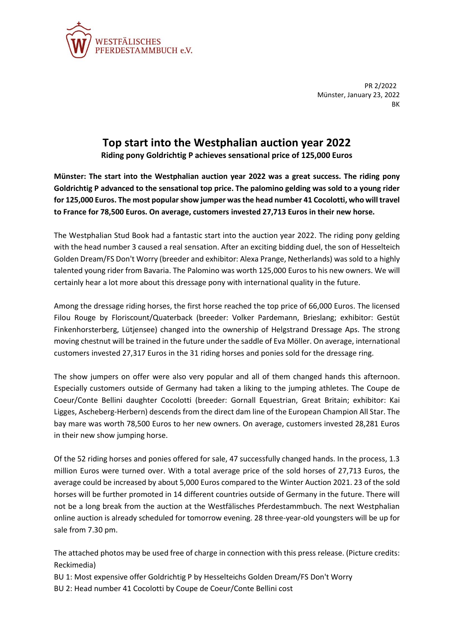

PR 2/2022 Münster, January 23, 2022 **BK** 

## **Top start into the Westphalian auction year 2022**

**Riding pony Goldrichtig P achieves sensational price of 125,000 Euros**

**Münster: The start into the Westphalian auction year 2022 was a great success. The riding pony Goldrichtig P advanced to the sensational top price. The palomino gelding was sold to a young rider for 125,000 Euros. The most popular show jumper was the head number 41 Cocolotti, who will travel to France for 78,500 Euros. On average, customers invested 27,713 Euros in their new horse.**

The Westphalian Stud Book had a fantastic start into the auction year 2022. The riding pony gelding with the head number 3 caused a real sensation. After an exciting bidding duel, the son of Hesselteich Golden Dream/FS Don't Worry (breeder and exhibitor: Alexa Prange, Netherlands) was sold to a highly talented young rider from Bavaria. The Palomino was worth 125,000 Euros to his new owners. We will certainly hear a lot more about this dressage pony with international quality in the future.

Among the dressage riding horses, the first horse reached the top price of 66,000 Euros. The licensed Filou Rouge by Floriscount/Quaterback (breeder: Volker Pardemann, Brieslang; exhibitor: Gestüt Finkenhorsterberg, Lütjensee) changed into the ownership of Helgstrand Dressage Aps. The strong moving chestnut will be trained in the future under the saddle of Eva Möller. On average, international customers invested 27,317 Euros in the 31 riding horses and ponies sold for the dressage ring.

The show jumpers on offer were also very popular and all of them changed hands this afternoon. Especially customers outside of Germany had taken a liking to the jumping athletes. The Coupe de Coeur/Conte Bellini daughter Cocolotti (breeder: Gornall Equestrian, Great Britain; exhibitor: Kai Ligges, Ascheberg-Herbern) descends from the direct dam line of the European Champion All Star. The bay mare was worth 78,500 Euros to her new owners. On average, customers invested 28,281 Euros in their new show jumping horse.

Of the 52 riding horses and ponies offered for sale, 47 successfully changed hands. In the process, 1.3 million Euros were turned over. With a total average price of the sold horses of 27,713 Euros, the average could be increased by about 5,000 Euros compared to the Winter Auction 2021. 23 of the sold horses will be further promoted in 14 different countries outside of Germany in the future. There will not be a long break from the auction at the Westfälisches Pferdestammbuch. The next Westphalian online auction is already scheduled for tomorrow evening. 28 three-year-old youngsters will be up for sale from 7.30 pm.

The attached photos may be used free of charge in connection with this press release. (Picture credits: Reckimedia)

BU 1: Most expensive offer Goldrichtig P by Hesselteichs Golden Dream/FS Don't Worry BU 2: Head number 41 Cocolotti by Coupe de Coeur/Conte Bellini cost